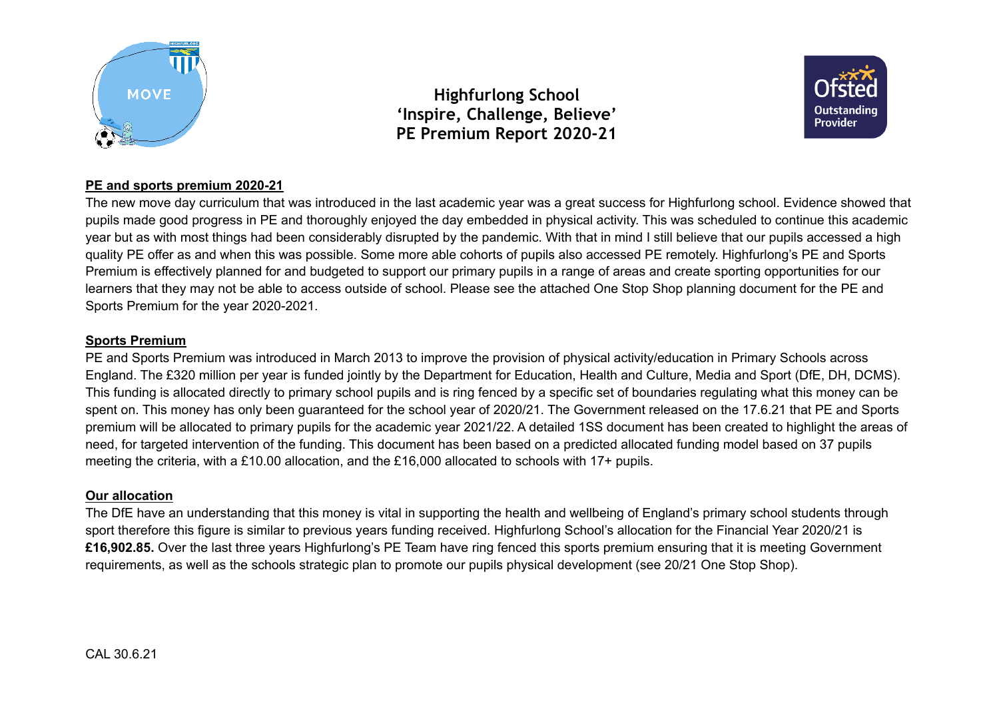



## **PE and sports premium 2020-21**

The new move day curriculum that was introduced in the last academic year was a great success for Highfurlong school. Evidence showed that pupils made good progress in PE and thoroughly enjoyed the day embedded in physical activity. This was scheduled to continue this academic year but as with most things had been considerably disrupted by the pandemic. With that in mind I still believe that our pupils accessed a high quality PE offer as and when this was possible. Some more able cohorts of pupils also accessed PE remotely. Highfurlong's PE and Sports Premium is effectively planned for and budgeted to support our primary pupils in a range of areas and create sporting opportunities for our learners that they may not be able to access outside of school. Please see the attached One Stop Shop planning document for the PE and Sports Premium for the year 2020-2021.

#### **Sports Premium**

PE and Sports Premium was introduced in March 2013 to improve the provision of physical activity/education in Primary Schools across England. The £320 million per year is funded jointly by the Department for Education, Health and Culture, Media and Sport (DfE, DH, DCMS). This funding is allocated directly to primary school pupils and is ring fenced by a specific set of boundaries regulating what this money can be spent on. This money has only been guaranteed for the school year of 2020/21. The Government released on the 17.6.21 that PE and Sports premium will be allocated to primary pupils for the academic year 2021/22. A detailed 1SS document has been created to highlight the areas of need, for targeted intervention of the funding. This document has been based on a predicted allocated funding model based on 37 pupils meeting the criteria, with a £10.00 allocation, and the £16,000 allocated to schools with 17+ pupils.

## **Our allocation**

The DfE have an understanding that this money is vital in supporting the health and wellbeing of England's primary school students through sport therefore this figure is similar to previous years funding received. Highfurlong School's allocation for the Financial Year 2020/21 is **£16,902.85.** Over the last three years Highfurlong's PE Team have ring fenced this sports premium ensuring that it is meeting Government requirements, as well as the schools strategic plan to promote our pupils physical development (see 20/21 One Stop Shop).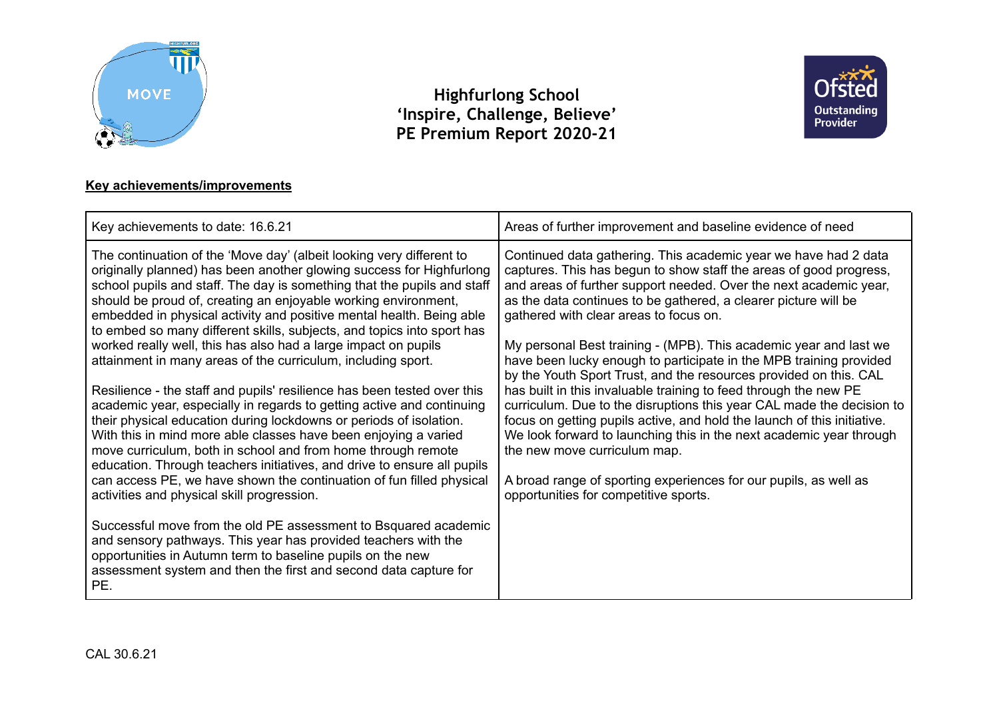



# **Key achievements/improvements**

| Key achievements to date: 16.6.21                                                                                                                                                                                                                                                                                                                                                                                                                                                                                                                                                                                                                                                                                                                                                                                                                                                                                                                                                                                                                                                                                                                                                                                                                                                                                                                                                                                         | Areas of further improvement and baseline evidence of need                                                                                                                                                                                                                                                                                                                                                                                                                                                                                                                                                                                                                                                                                                                                                                                                                                                                                                                          |
|---------------------------------------------------------------------------------------------------------------------------------------------------------------------------------------------------------------------------------------------------------------------------------------------------------------------------------------------------------------------------------------------------------------------------------------------------------------------------------------------------------------------------------------------------------------------------------------------------------------------------------------------------------------------------------------------------------------------------------------------------------------------------------------------------------------------------------------------------------------------------------------------------------------------------------------------------------------------------------------------------------------------------------------------------------------------------------------------------------------------------------------------------------------------------------------------------------------------------------------------------------------------------------------------------------------------------------------------------------------------------------------------------------------------------|-------------------------------------------------------------------------------------------------------------------------------------------------------------------------------------------------------------------------------------------------------------------------------------------------------------------------------------------------------------------------------------------------------------------------------------------------------------------------------------------------------------------------------------------------------------------------------------------------------------------------------------------------------------------------------------------------------------------------------------------------------------------------------------------------------------------------------------------------------------------------------------------------------------------------------------------------------------------------------------|
| The continuation of the 'Move day' (albeit looking very different to<br>originally planned) has been another glowing success for Highfurlong<br>school pupils and staff. The day is something that the pupils and staff<br>should be proud of, creating an enjoyable working environment,<br>embedded in physical activity and positive mental health. Being able<br>to embed so many different skills, subjects, and topics into sport has<br>worked really well, this has also had a large impact on pupils<br>attainment in many areas of the curriculum, including sport.<br>Resilience - the staff and pupils' resilience has been tested over this<br>academic year, especially in regards to getting active and continuing<br>their physical education during lockdowns or periods of isolation.<br>With this in mind more able classes have been enjoying a varied<br>move curriculum, both in school and from home through remote<br>education. Through teachers initiatives, and drive to ensure all pupils<br>can access PE, we have shown the continuation of fun filled physical<br>activities and physical skill progression.<br>Successful move from the old PE assessment to Bsquared academic<br>and sensory pathways. This year has provided teachers with the<br>opportunities in Autumn term to baseline pupils on the new<br>assessment system and then the first and second data capture for<br>PE. | Continued data gathering. This academic year we have had 2 data<br>captures. This has begun to show staff the areas of good progress,<br>and areas of further support needed. Over the next academic year,<br>as the data continues to be gathered, a clearer picture will be<br>gathered with clear areas to focus on.<br>My personal Best training - (MPB). This academic year and last we<br>have been lucky enough to participate in the MPB training provided<br>by the Youth Sport Trust, and the resources provided on this. CAL<br>has built in this invaluable training to feed through the new PE<br>curriculum. Due to the disruptions this year CAL made the decision to<br>focus on getting pupils active, and hold the launch of this initiative.<br>We look forward to launching this in the next academic year through<br>the new move curriculum map.<br>A broad range of sporting experiences for our pupils, as well as<br>opportunities for competitive sports. |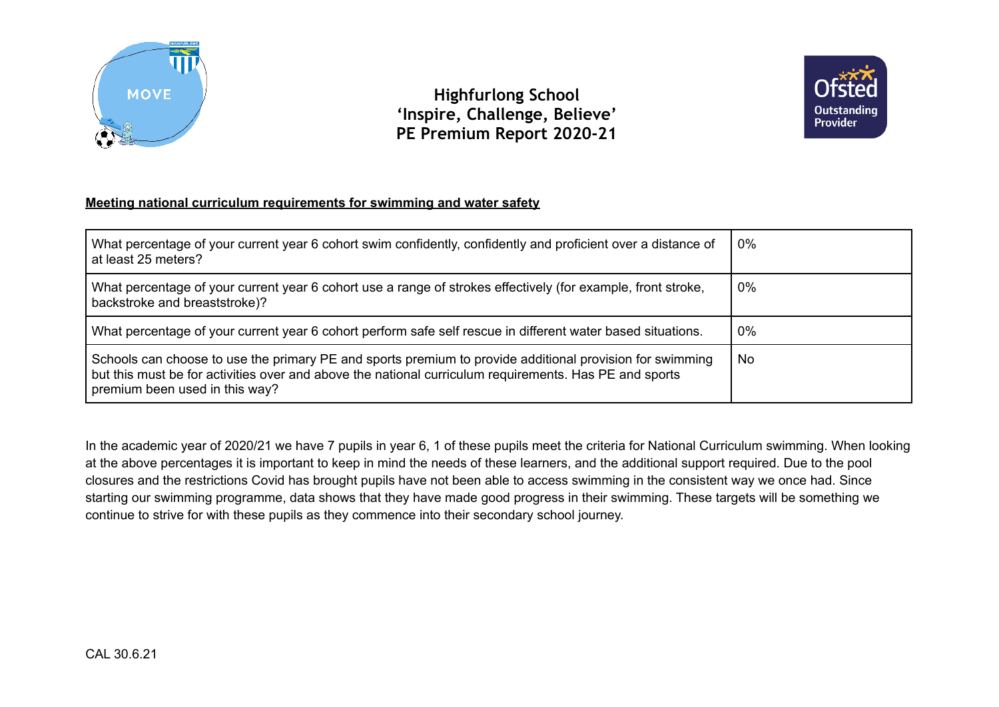



## **Meeting national curriculum requirements for swimming and water safety**

| What percentage of your current year 6 cohort swim confidently, confidently and proficient over a distance of<br>at least 25 meters?                                                                                                                 | 0%    |
|------------------------------------------------------------------------------------------------------------------------------------------------------------------------------------------------------------------------------------------------------|-------|
| What percentage of your current year 6 cohort use a range of strokes effectively (for example, front stroke,<br>backstroke and breaststroke)?                                                                                                        | 0%    |
| What percentage of your current year 6 cohort perform safe self rescue in different water based situations.                                                                                                                                          | $0\%$ |
| Schools can choose to use the primary PE and sports premium to provide additional provision for swimming<br>but this must be for activities over and above the national curriculum requirements. Has PE and sports<br>premium been used in this way? | No.   |

In the academic year of 2020/21 we have 7 pupils in year 6, 1 of these pupils meet the criteria for National Curriculum swimming. When looking at the above percentages it is important to keep in mind the needs of these learners, and the additional support required. Due to the pool closures and the restrictions Covid has brought pupils have not been able to access swimming in the consistent way we once had. Since starting our swimming programme, data shows that they have made good progress in their swimming. These targets will be something we continue to strive for with these pupils as they commence into their secondary school journey.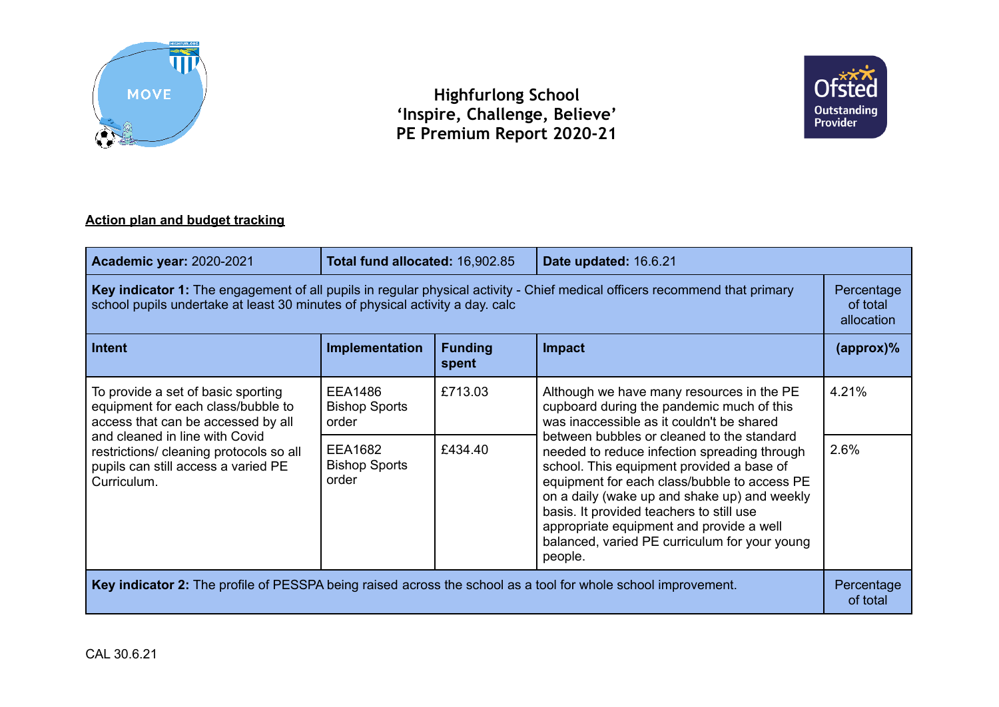



# **Action plan and budget tracking**

| <b>Academic year: 2020-2021</b>                                                                                                                                                                            | Total fund allocated: 16,902.85                 |                         | Date updated: 16.6.21                                                                                                                                                                                                                                                                                                                                                                       |                                      |
|------------------------------------------------------------------------------------------------------------------------------------------------------------------------------------------------------------|-------------------------------------------------|-------------------------|---------------------------------------------------------------------------------------------------------------------------------------------------------------------------------------------------------------------------------------------------------------------------------------------------------------------------------------------------------------------------------------------|--------------------------------------|
| Key indicator 1: The engagement of all pupils in regular physical activity - Chief medical officers recommend that primary<br>school pupils undertake at least 30 minutes of physical activity a day. calc |                                                 |                         |                                                                                                                                                                                                                                                                                                                                                                                             | Percentage<br>of total<br>allocation |
| Intent                                                                                                                                                                                                     | Implementation                                  | <b>Funding</b><br>spent | <b>Impact</b>                                                                                                                                                                                                                                                                                                                                                                               | $(\text{approx})\%$                  |
| To provide a set of basic sporting<br>equipment for each class/bubble to<br>access that can be accessed by all                                                                                             | <b>EEA1486</b><br><b>Bishop Sports</b><br>order | £713.03                 | Although we have many resources in the PE<br>cupboard during the pandemic much of this<br>was inaccessible as it couldn't be shared                                                                                                                                                                                                                                                         | 4.21%                                |
| and cleaned in line with Covid<br>restrictions/ cleaning protocols so all<br>pupils can still access a varied PE<br>Curriculum.                                                                            | <b>EEA1682</b><br><b>Bishop Sports</b><br>order | £434.40                 | between bubbles or cleaned to the standard<br>needed to reduce infection spreading through<br>school. This equipment provided a base of<br>equipment for each class/bubble to access PE<br>on a daily (wake up and shake up) and weekly<br>basis. It provided teachers to still use<br>appropriate equipment and provide a well<br>balanced, varied PE curriculum for your young<br>people. | 2.6%                                 |
| Key indicator 2: The profile of PESSPA being raised across the school as a tool for whole school improvement.                                                                                              |                                                 |                         | Percentage<br>of total                                                                                                                                                                                                                                                                                                                                                                      |                                      |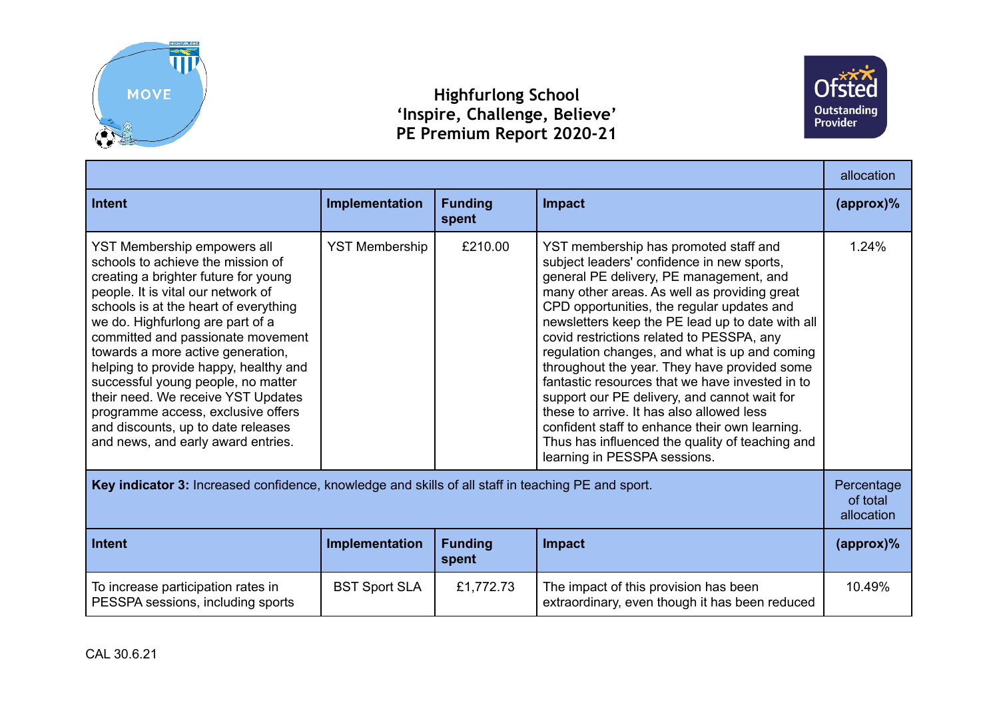



|                                                                                                                                                                                                                                                                                                                                                                                                                                                                                                                                              |                       |                         | allocation                                                                                                                                                                                                                                                                                                                                                                                                                                                                                                                                                                                                                                                                                                          |                                      |
|----------------------------------------------------------------------------------------------------------------------------------------------------------------------------------------------------------------------------------------------------------------------------------------------------------------------------------------------------------------------------------------------------------------------------------------------------------------------------------------------------------------------------------------------|-----------------------|-------------------------|---------------------------------------------------------------------------------------------------------------------------------------------------------------------------------------------------------------------------------------------------------------------------------------------------------------------------------------------------------------------------------------------------------------------------------------------------------------------------------------------------------------------------------------------------------------------------------------------------------------------------------------------------------------------------------------------------------------------|--------------------------------------|
| <b>Intent</b>                                                                                                                                                                                                                                                                                                                                                                                                                                                                                                                                | Implementation        | <b>Funding</b><br>spent | Impact                                                                                                                                                                                                                                                                                                                                                                                                                                                                                                                                                                                                                                                                                                              | $\langle$ approx $)\%$               |
| YST Membership empowers all<br>schools to achieve the mission of<br>creating a brighter future for young<br>people. It is vital our network of<br>schools is at the heart of everything<br>we do. Highfurlong are part of a<br>committed and passionate movement<br>towards a more active generation,<br>helping to provide happy, healthy and<br>successful young people, no matter<br>their need. We receive YST Updates<br>programme access, exclusive offers<br>and discounts, up to date releases<br>and news, and early award entries. | <b>YST Membership</b> | £210.00                 | YST membership has promoted staff and<br>subject leaders' confidence in new sports,<br>general PE delivery, PE management, and<br>many other areas. As well as providing great<br>CPD opportunities, the regular updates and<br>newsletters keep the PE lead up to date with all<br>covid restrictions related to PESSPA, any<br>regulation changes, and what is up and coming<br>throughout the year. They have provided some<br>fantastic resources that we have invested in to<br>support our PE delivery, and cannot wait for<br>these to arrive. It has also allowed less<br>confident staff to enhance their own learning.<br>Thus has influenced the quality of teaching and<br>learning in PESSPA sessions. | 1.24%                                |
| Key indicator 3: Increased confidence, knowledge and skills of all staff in teaching PE and sport.                                                                                                                                                                                                                                                                                                                                                                                                                                           |                       |                         |                                                                                                                                                                                                                                                                                                                                                                                                                                                                                                                                                                                                                                                                                                                     | Percentage<br>of total<br>allocation |
| <b>Intent</b>                                                                                                                                                                                                                                                                                                                                                                                                                                                                                                                                | Implementation        | <b>Funding</b><br>spent | Impact                                                                                                                                                                                                                                                                                                                                                                                                                                                                                                                                                                                                                                                                                                              | $(\text{approx})\%$                  |
| To increase participation rates in<br>PESSPA sessions, including sports                                                                                                                                                                                                                                                                                                                                                                                                                                                                      | <b>BST Sport SLA</b>  | £1,772.73               | The impact of this provision has been<br>extraordinary, even though it has been reduced                                                                                                                                                                                                                                                                                                                                                                                                                                                                                                                                                                                                                             | 10.49%                               |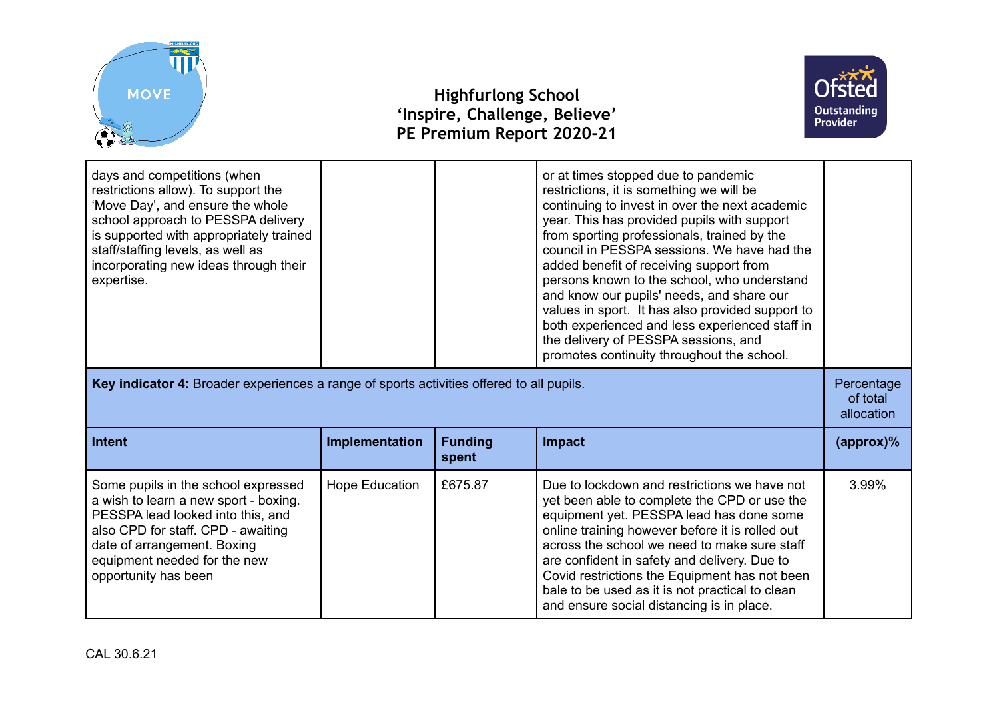



| days and competitions (when<br>restrictions allow). To support the<br>'Move Day', and ensure the whole<br>school approach to PESSPA delivery<br>is supported with appropriately trained<br>staff/staffing levels, as well as<br>incorporating new ideas through their<br>expertise. |                |                         | or at times stopped due to pandemic<br>restrictions, it is something we will be<br>continuing to invest in over the next academic<br>year. This has provided pupils with support<br>from sporting professionals, trained by the<br>council in PESSPA sessions. We have had the<br>added benefit of receiving support from<br>persons known to the school, who understand<br>and know our pupils' needs, and share our<br>values in sport. It has also provided support to<br>both experienced and less experienced staff in<br>the delivery of PESSPA sessions, and<br>promotes continuity throughout the school. |                     |
|-------------------------------------------------------------------------------------------------------------------------------------------------------------------------------------------------------------------------------------------------------------------------------------|----------------|-------------------------|-------------------------------------------------------------------------------------------------------------------------------------------------------------------------------------------------------------------------------------------------------------------------------------------------------------------------------------------------------------------------------------------------------------------------------------------------------------------------------------------------------------------------------------------------------------------------------------------------------------------|---------------------|
| Key indicator 4: Broader experiences a range of sports activities offered to all pupils.                                                                                                                                                                                            |                |                         | Percentage<br>of total<br>allocation                                                                                                                                                                                                                                                                                                                                                                                                                                                                                                                                                                              |                     |
| <b>Intent</b>                                                                                                                                                                                                                                                                       | Implementation | <b>Funding</b><br>spent | Impact                                                                                                                                                                                                                                                                                                                                                                                                                                                                                                                                                                                                            | $(\text{approx})\%$ |
| Some pupils in the school expressed<br>a wish to learn a new sport - boxing.<br>PESSPA lead looked into this, and<br>also CPD for staff. CPD - awaiting<br>date of arrangement. Boxing<br>equipment needed for the new<br>opportunity has been                                      | Hope Education | £675.87                 | Due to lockdown and restrictions we have not<br>yet been able to complete the CPD or use the<br>equipment yet. PESSPA lead has done some<br>online training however before it is rolled out<br>across the school we need to make sure staff<br>are confident in safety and delivery. Due to<br>Covid restrictions the Equipment has not been<br>bale to be used as it is not practical to clean<br>and ensure social distancing is in place.                                                                                                                                                                      | 3.99%               |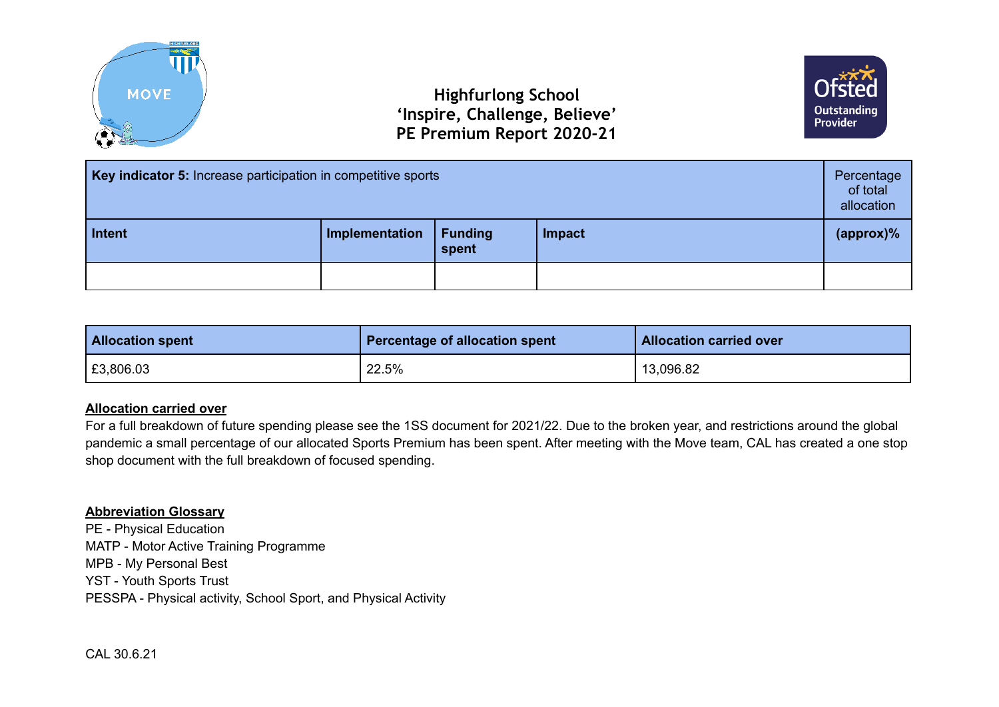



| Key indicator 5: Increase participation in competitive sports |                |                         | Percentage<br>of total<br>allocation |                     |
|---------------------------------------------------------------|----------------|-------------------------|--------------------------------------|---------------------|
| Intent                                                        | Implementation | <b>Funding</b><br>spent | Impact                               | $(\text{approx})\%$ |
|                                                               |                |                         |                                      |                     |

| <b>Allocation spent</b> | Percentage of allocation spent | <b>Allocation carried over</b> |
|-------------------------|--------------------------------|--------------------------------|
| E3,806.03               | 22.5%                          | 13,096.82                      |

## **Allocation carried over**

For a full breakdown of future spending please see the 1SS document for 2021/22. Due to the broken year, and restrictions around the global pandemic a small percentage of our allocated Sports Premium has been spent. After meeting with the Move team, CAL has created a one stop shop document with the full breakdown of focused spending.

## **Abbreviation Glossary**

PE - Physical Education MATP - Motor Active Training Programme MPB - My Personal Best YST - Youth Sports Trust PESSPA - Physical activity, School Sport, and Physical Activity